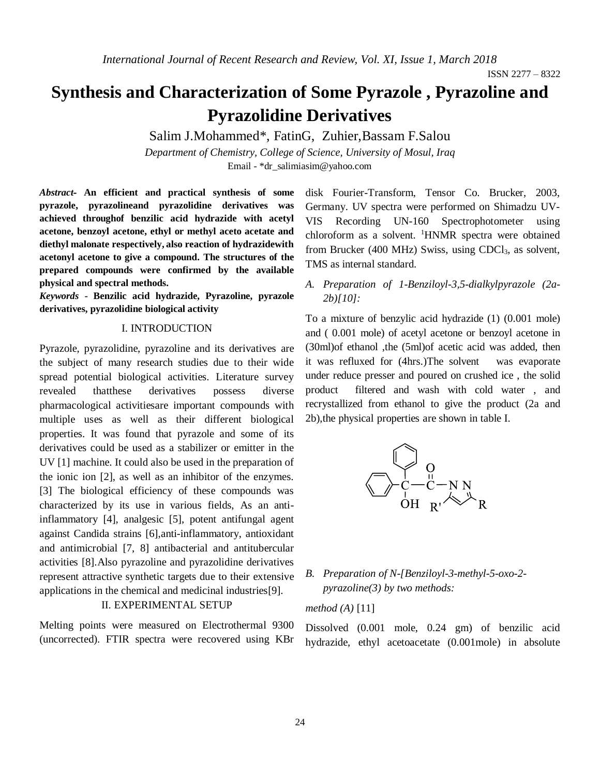# **Synthesis and Characterization of Some Pyrazole , Pyrazoline and Pyrazolidine Derivatives**

Salim J.Mohammed\*, FatinG, Zuhier,Bassam F.Salou

*Department of Chemistry, College of Science, University of Mosul, Iraq* Email - [\\*dr\\_salimiasim@yahoo.com](mailto:dr_salimiasim@yahoo.com)

*Abstract***- An efficient and practical synthesis of some pyrazole, pyrazolineand pyrazolidine derivatives was achieved throughof benzilic acid hydrazide with acetyl acetone, benzoyl acetone, ethyl or methyl aceto acetate and diethyl malonate respectively, also reaction of hydrazidewith acetonyl acetone to give a compound. The structures of the prepared compounds were confirmed by the available physical and spectral methods.**

*Keywords* **- Benzilic acid hydrazide, Pyrazoline, pyrazole derivatives, pyrazolidine biological activity**

## I. INTRODUCTION

Pyrazole, pyrazolidine, pyrazoline and its derivatives are the subject of many research studies due to their wide spread potential biological activities. Literature survey revealed thatthese derivatives possess diverse pharmacological activitiesare important compounds with multiple uses as well as their different biological properties. It was found that pyrazole and some of its derivatives could be used as a stabilizer or emitter in the UV [1] machine. It could also be used in the preparation of the ionic ion [2], as well as an inhibitor of the enzymes. [3] The biological efficiency of these compounds was characterized by its use in various fields, As an antiinflammatory [4], analgesic [5], potent antifungal agent against Candida strains [6],anti-inflammatory, antioxidant and antimicrobial [7, 8] antibacterial and antitubercular activities [8].Also pyrazoline and pyrazolidine derivatives represent attractive synthetic targets due to their extensive applications in the chemical and medicinal industries[9].

## II. EXPERIMENTAL SETUP

Melting points were measured on Electrothermal 9300 (uncorrected). FTIR spectra were recovered using KBr disk Fourier-Transform, Tensor Co. Brucker, 2003, Germany. UV spectra were performed on Shimadzu UV-VIS Recording UN-160 Spectrophotometer using chloroform as a solvent. <sup>1</sup>HNMR spectra were obtained from Brucker (400 MHz) Swiss, using CDCl<sub>3</sub>, as solvent, TMS as internal standard.

## *A. Preparation of 1-Benziloyl-3,5-dialkylpyrazole (2a-2b)[10]:*

To a mixture of benzylic acid hydrazide (1) (0.001 mole) and ( 0.001 mole) of acetyl acetone or benzoyl acetone in (30ml)of ethanol ,the (5ml)of acetic acid was added, then it was refluxed for (4hrs.)The solvent was evaporate under reduce presser and poured on crushed ice , the solid product filtered and wash with cold water , and recrystallized from ethanol to give the product (2a and 2b),the physical properties are shown in table I.



## *B. Preparation of N-[Benziloyl-3-methyl-5-oxo-2 pyrazoline(3) by two methods:*

### *method (A)* [11]

Dissolved (0.001 mole, 0.24 gm) of benzilic acid hydrazide, ethyl acetoacetate (0.001mole) in absolute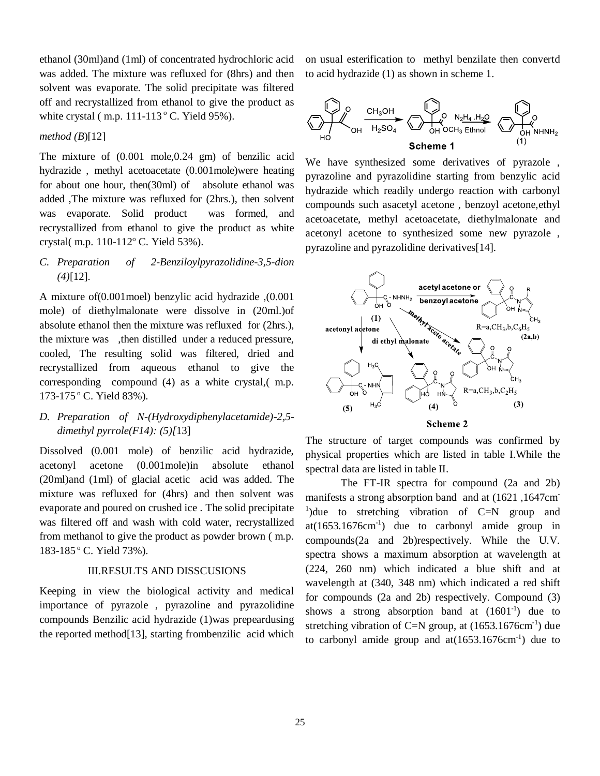ethanol (30ml)and (1ml) of concentrated hydrochloric acid was added. The mixture was refluxed for (8hrs) and then solvent was evaporate. The solid precipitate was filtered off and recrystallized from ethanol to give the product as white crystal (m.p.  $111-113$ <sup>o</sup> C. Yield 95%).

*method (B*)[12]

The mixture of (0.001 mole,0.24 gm) of benzilic acid hydrazide , methyl acetoacetate (0.001mole)were heating for about one hour, then(30ml) of absolute ethanol was added ,The mixture was refluxed for (2hrs.), then solvent was evaporate. Solid product was formed, and recrystallized from ethanol to give the product as white crystal( m.p. 110-112° C. Yield 53%).

*C. Preparation of 2-Benziloylpyrazolidine-3,5-dion (4)*[12].

A mixture of(0.001moel) benzylic acid hydrazide ,(0.001 mole) of diethylmalonate were dissolve in (20ml.)of absolute ethanol then the mixture was refluxed for (2hrs.), the mixture was ,then distilled under a reduced pressure, cooled, The resulting solid was filtered, dried and recrystallized from aqueous ethanol to give the corresponding compound (4) as a white crystal,( m.p. 173-175°C. Yield 83%).

## *D. Preparation of N-(Hydroxydiphenylacetamide)-2,5 dimethyl pyrrole(F14): (5)[*13]

Dissolved (0.001 mole) of benzilic acid hydrazide, acetonyl acetone (0.001mole)in absolute ethanol (20ml)and (1ml) of glacial acetic acid was added. The mixture was refluxed for (4hrs) and then solvent was evaporate and poured on crushed ice . The solid precipitate was filtered off and wash with cold water, recrystallized from methanol to give the product as powder brown ( m.p. 183-185<sup>°</sup> C. Yield 73%).

### III.RESULTS AND DISSCUSIONS

Keeping in view the biological activity and medical importance of pyrazole , pyrazoline and pyrazolidine compounds Benzilic acid hydrazide (1)was prepeardusing the reported method[13], starting frombenzilic acid which on usual esterification to methyl benzilate then convertd to acid hydrazide (1) as shown in scheme 1.



We have synthesized some derivatives of pyrazole , pyrazoline and pyrazolidine starting from benzylic acid hydrazide which readily undergo reaction with carbonyl compounds such asacetyl acetone , benzoyl acetone,ethyl acetoacetate, methyl acetoacetate, diethylmalonate and acetonyl acetone to synthesized some new pyrazole , pyrazoline and pyrazolidine derivatives[14].



**Scheme 2** 

The structure of target compounds was confirmed by physical properties which are listed in table I.While the spectral data are listed in table II.

The FT-IR spectra for compound (2a and 2b) manifests a strong absorption band and at (1621 ,1647cm-<sup>1</sup>) due to stretching vibration of C=N group and  $at(1653.1676cm<sup>-1</sup>)$  due to carbonyl amide group in compounds(2a and 2b)respectively. While the U.V. spectra shows a maximum absorption at wavelength at (224, 260 nm) which indicated a blue shift and at wavelength at (340, 348 nm) which indicated a red shift for compounds (2a and 2b) respectively. Compound (3) shows a strong absorption band at  $(1601<sup>-1</sup>)$  due to stretching vibration of C=N group, at  $(1653.1676 \text{cm}^{-1})$  due to carbonyl amide group and  $at(1653.1676cm<sup>-1</sup>)$  due to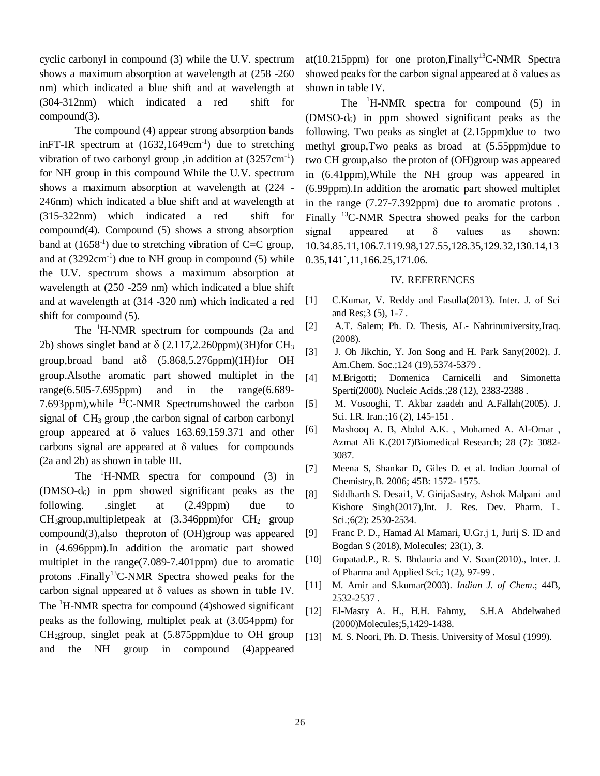cyclic carbonyl in compound (3) while the U.V. spectrum shows a maximum absorption at wavelength at (258 -260 nm) which indicated a blue shift and at wavelength at (304-312nm) which indicated a red shift for compound(3).

The compound (4) appear strong absorption bands inFT-IR spectrum at  $(1632, 1649 \text{cm}^{-1})$  due to stretching vibration of two carbonyl group ,in addition at  $(3257 \text{cm}^{-1})$ for NH group in this compound While the U.V. spectrum shows a maximum absorption at wavelength at (224 - 246nm) which indicated a blue shift and at wavelength at (315-322nm) which indicated a red shift for compound(4). Compound (5) shows a strong absorption band at  $(1658<sup>-1</sup>)$  due to stretching vibration of C=C group, and at  $(3292 \text{cm}^{-1})$  due to NH group in compound  $(5)$  while the U.V. spectrum shows a maximum absorption at wavelength at (250 -259 nm) which indicated a blue shift and at wavelength at (314 -320 nm) which indicated a red shift for compound (5).

The <sup>1</sup>H-NMR spectrum for compounds (2a and 2b) shows singlet band at  $\delta$  (2.117,2.260ppm)(3H)for CH<sub>3</sub> group, broad band at $\delta$   $(5.868, 5.276$ ppm $)(1H)$ for OH group.Alsothe aromatic part showed multiplet in the range(6.505-7.695ppm) and in the range(6.689- 7.693ppm), while <sup>13</sup>C-NMR Spectrumshowed the carbon signal of  $CH<sub>3</sub>$  group, the carbon signal of carbon carbonyl group appeared at δ values 163.69,159.371 and other carbons signal are appeared at  $\delta$  values for compounds (2a and 2b) as shown in table III.

The  ${}^{1}$ H-NMR spectra for compound (3) in (DMSO-d6) in ppm showed significant peaks as the following. .singlet at (2.49ppm) due to  $CH<sub>3</sub>$ group,multipletpeak at  $(3.346$ ppm)for  $CH<sub>2</sub>$  group compound(3),also theproton of (OH)group was appeared in (4.696ppm).In addition the aromatic part showed multiplet in the range(7.089-7.401ppm) due to aromatic protons .Finally<sup>13</sup>C-NMR Spectra showed peaks for the carbon signal appeared at δ values as shown in table IV. The  ${}^{1}$ H-NMR spectra for compound (4)showed significant peaks as the following, multiplet peak at (3.054ppm) for  $CH<sub>2</sub>$ group, singlet peak at  $(5.875$ ppm)due to OH group and the NH group in compound (4)appeared

at(10.215ppm) for one proton, Finally<sup>13</sup>C-NMR Spectra showed peaks for the carbon signal appeared at  $\delta$  values as shown in table IV.

The  ${}^{1}$ H-NMR spectra for compound (5) in (DMSO-d6) in ppm showed significant peaks as the following. Two peaks as singlet at (2.15ppm)due to two methyl group,Two peaks as broad at (5.55ppm)due to two CH group,also the proton of (OH)group was appeared in (6.41ppm),While the NH group was appeared in (6.99ppm).In addition the aromatic part showed multiplet in the range (7.27-7.392ppm) due to aromatic protons . Finally <sup>13</sup>C-NMR Spectra showed peaks for the carbon signal appeared at δ values as shown: 10.34.85.11,106.7.119.98,127.55,128.35,129.32,130.14,13 0.35,141`,11,166.25,171.06.

### IV. REFERENCES

- [1] C.Kumar, V. Reddy and Fasulla(2013). Inter. J. of Sci and Res;3 (5), 1-7 .
- [2] A.T. Salem; Ph. D. Thesis, AL- Nahrinuniversity,Iraq. (2008).
- [3] J. Oh Jikchin, Y. Jon Song and H. Park Sany(2002). J. Am.Chem. Soc.; 124 (19), 5374-5379.
- [4] M.Brigotti; Domenica Carnicelli and Simonetta Sperti(2000). Nucleic Acids.;28 (12), 2383-2388 .
- [5] M. Vosooghi, T. Akbar zaadeh and A.Fallah(2005). J. Sci. I.R. Iran.; 16 (2), 145-151.
- [6] Mashooq A. B, Abdul A.K. , Mohamed A. Al-Omar , Azmat Ali K.(2017)Biomedical Research; 28 (7): 3082- 3087.
- [7] Meena S, Shankar D, Giles D. et al. Indian Journal of Chemistry,B. 2006; 45B: 1572- 1575.
- [8] Siddharth S. Desai1, V. GirijaSastry, Ashok Malpani and Kishore Singh(2017),Int. J. Res. Dev. Pharm. L. Sci.;6(2): 2530-2534.
- [9] Franc P. D., Hamad Al Mamari, U.Gr.j 1, Jurij S. ID and Bogdan S (2018), Molecules; 23(1), 3.
- [10] Gupatad.P., R. S. Bhdauria and V. Soan(2010)., Inter. J. of Pharma and Applied Sci.; 1(2), 97-99 .
- [11] M. Amir and S.kumar(2003). *Indian J. of Chem*.; 44B, 2532-2537 .
- [12] El-Masry A. H., H.H. Fahmy, S.H.A Abdelwahed (2000)Molecules;5,1429-1438.
- [13] M. S. Noori, Ph. D. Thesis. University of Mosul (1999).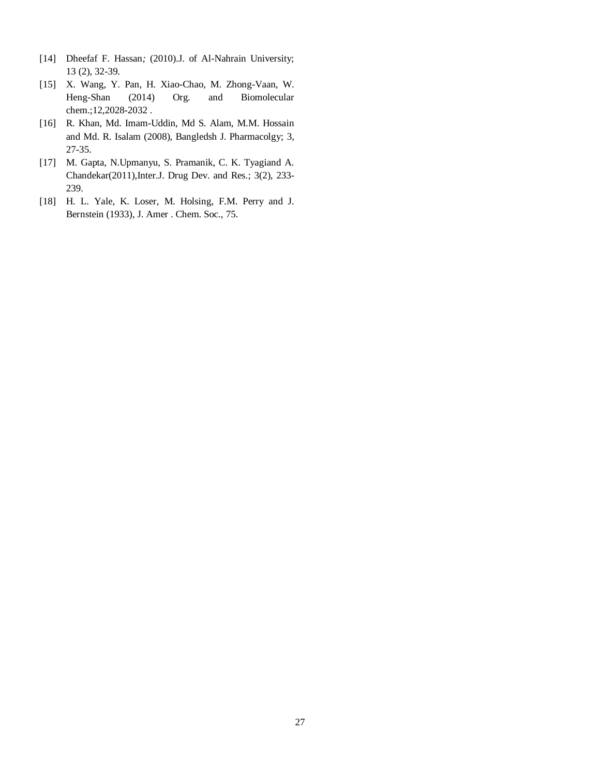- [14] Dheefaf F. Hassan*;* (2010).J. of Al-Nahrain University; 13 (2), 32-39.
- [15] X. Wang, Y. Pan, H. Xiao-Chao, M. Zhong-Vaan, W. Heng-Shan (2014) Org. and Biomolecular chem.;12,2028-2032 .
- [16] R. Khan, Md. Imam-Uddin, Md S. Alam, M.M. Hossain and Md. R. Isalam (2008), Bangledsh J. Pharmacolgy; 3, 27-35.
- [17] M. Gapta, N.Upmanyu, S. Pramanik, C. K. Tyagiand A. Chandekar(2011),Inter.J. Drug Dev. and Res.; 3(2), 233- 239.
- [18] H. L. Yale, K. Loser, M. Holsing, F.M. Perry and J. Bernstein (1933), J. Amer . Chem. Soc., 75.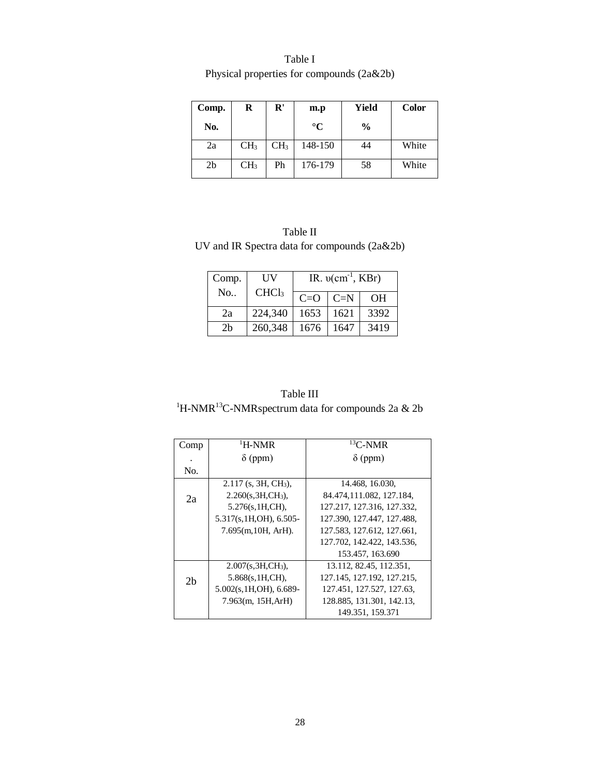| Table I |                                              |
|---------|----------------------------------------------|
|         | Physical properties for compounds $(2a\&2b)$ |

| Comp.          | R               | ${\bf R}'$      | m.p             | Yield         | <b>Color</b> |
|----------------|-----------------|-----------------|-----------------|---------------|--------------|
| No.            |                 |                 | $\rm ^{\circ}C$ | $\frac{0}{0}$ |              |
| 2a             | CH <sub>3</sub> | CH <sub>3</sub> | 148-150         | 44            | White        |
| 2 <sub>b</sub> | CH <sub>3</sub> | Ph              | 176-179         | 58            | White        |

Table II UV and IR Spectra data for compounds (2a&2b)

| Comp.          | UV                |       | IR. $v(cm^{-1}, KBr)$   |      |
|----------------|-------------------|-------|-------------------------|------|
| No.            | CHCl <sub>3</sub> | $C=O$ | $\mathsf{C}=\mathsf{N}$ | OН   |
| 2a             | 224,340           | 1653  | 1621                    | 3392 |
| 2 <sub>b</sub> | 260,348           | 1676  | 1647                    | 3419 |

| Table III                                                                 |  |
|---------------------------------------------------------------------------|--|
| <sup>1</sup> H-NMR <sup>13</sup> C-NMRspectrum data for compounds 2a & 2b |  |

| Comp           | $\mathrm{H}\text{-}\mathrm{N}\mathrm{M}\mathrm{R}$ | ${}^{13}$ C-NMR            |
|----------------|----------------------------------------------------|----------------------------|
|                | $\delta$ (ppm)                                     | $\delta$ (ppm)             |
| No.            |                                                    |                            |
|                | $2.117$ (s, 3H, CH <sub>3</sub> ),                 | 14.468, 16.030,            |
| 2a             | $2.260(s, 3H, CH3)$ ,                              | 84.474,111.082, 127.184,   |
|                | 5.276(s, 1H, CH),                                  | 127.217, 127.316, 127.332, |
|                | 5.317(s, 1H, OH), 6.505-                           | 127.390, 127.447, 127.488, |
|                | $7.695(m, 10H, ArH)$ .                             | 127.583, 127.612, 127.661, |
|                |                                                    | 127.702, 142.422, 143.536, |
|                |                                                    | 153.457, 163.690           |
|                | $2.007(s, 3H, CH3)$ ,                              | 13.112, 82.45, 112.351,    |
| 2 <sub>b</sub> | 5.868(s, 1H, CH),                                  | 127.145, 127.192, 127.215, |
|                | $5.002(s, 1H, OH)$ , 6.689-                        | 127.451, 127.527, 127.63,  |
|                | 7.963(m, 15H, ArH)                                 | 128.885, 131.301, 142.13,  |
|                |                                                    | 149.351, 159.371           |